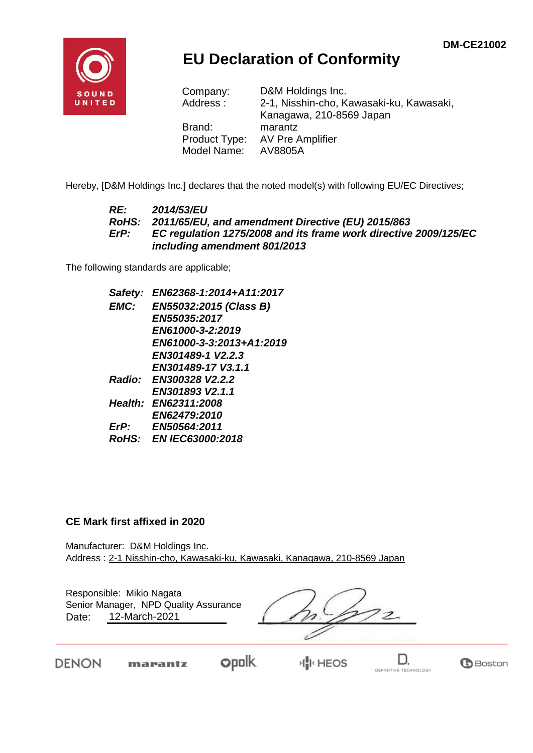**B**Boston



## **EU Declaration of Conformity**

| D&M Holdings Inc.                        |
|------------------------------------------|
| 2-1, Nisshin-cho, Kawasaki-ku, Kawasaki, |
| Kanagawa, 210-8569 Japan                 |
| marantz                                  |
| AV Pre Amplifier                         |
| AV8805A                                  |
|                                          |

Hereby, [D&M Holdings Inc.] declares that the noted model(s) with following EU/EC Directives;

#### *RE: 2014/53/EU RoHS: 2011/65/EU, and amendment Directive (EU) 2015/863 ErP: EC regulation 1275/2008 and its frame work directive 2009/125/EC including amendment 801/2013*

The following standards are applicable;

*Safety: EN62368-1:2014+A11:2017 EMC: EN55032:2015 (Class B) EN55035:2017 EN61000-3-2:2019 EN61000-3-3:2013+A1:2019 EN301489-1 V2.2.3 EN301489-17 V3.1.1 Radio: EN300328 V2.2.2 EN301893 V2.1.1 Health: EN62311:2008 EN62479:2010 ErP: EN50564:2011 RoHS: EN IEC63000:2018*

#### **CE Mark first affixed in 2020**

DENON

Manufacturer: D&M Holdings Inc. Address : 2-1 Nisshin-cho, Kawasaki-ku, Kawasaki, Kanagawa, 210-8569 Japan

| Date: | Responsible: Mikio Nagata<br>Senior Manager, NPD Quality Assurance<br>12-March-2021 |  |             |  |
|-------|-------------------------------------------------------------------------------------|--|-------------|--|
| FN    | marantz                                                                             |  | <b>HEOS</b> |  |

DEFINITIVE TECHNOLOGY